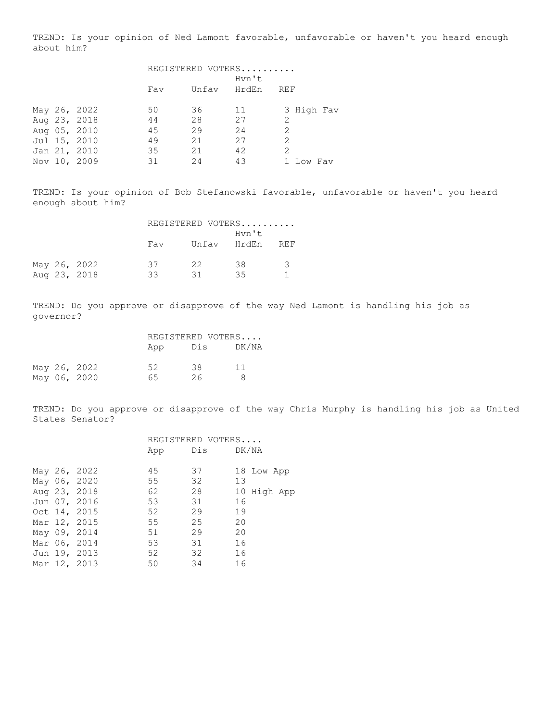TREND: Is your opinion of Ned Lamont favorable, unfavorable or haven't you heard enough about him?

|  |              | REGISTERED VOTERS |             |       |               |  |  |  |
|--|--------------|-------------------|-------------|-------|---------------|--|--|--|
|  |              |                   |             | Hvn't |               |  |  |  |
|  |              | Fav               | Unfav HrdEn |       | REF           |  |  |  |
|  |              |                   |             |       |               |  |  |  |
|  | May 26, 2022 | 50                | 36          | 11    | 3 High Fav    |  |  |  |
|  | Aug 23, 2018 | 44                | 28          | 27    | $\mathcal{L}$ |  |  |  |
|  | Aug 05, 2010 | 45                | 29          | 24    | 2             |  |  |  |
|  | Jul 15, 2010 | 49                | 21          | 27    | 2             |  |  |  |
|  | Jan 21, 2010 | 35                | 21          | 42    | 2             |  |  |  |
|  | Nov 10, 2009 | 31                | 24          | 43    | Low Fav       |  |  |  |

TREND: Is your opinion of Bob Stefanowski favorable, unfavorable or haven't you heard enough about him?

|  |              | REGISTERED VOTERS |  |    |                      |               |  |  |
|--|--------------|-------------------|--|----|----------------------|---------------|--|--|
|  |              | Fav               |  |    | Hvn't<br>Unfav HrdEn | <b>REF</b>    |  |  |
|  | May 26, 2022 | 37                |  | 22 | 38                   | $\mathcal{B}$ |  |  |
|  | Aug 23, 2018 | 33                |  | 31 | 35                   |               |  |  |

TREND: Do you approve or disapprove of the way Ned Lamont is handling his job as governor?

|  |              |     | REGISTERED VOTERS |       |
|--|--------------|-----|-------------------|-------|
|  |              | App | Dis               | DK/NA |
|  | May 26, 2022 | 52  | 38                | 11    |
|  | May 06, 2020 | 65. | 26                | Я     |

TREND: Do you approve or disapprove of the way Chris Murphy is handling his job as United States Senator?

|  |              |     | REGISTERED VOTERS |             |
|--|--------------|-----|-------------------|-------------|
|  |              | App | Dis DK/NA         |             |
|  |              |     |                   |             |
|  | May 26, 2022 | 45  | 37                | 18 Low App  |
|  | May 06, 2020 | 55  | 32                | 13          |
|  | Aug 23, 2018 | 62  | 28                | 10 High App |
|  | Jun 07, 2016 | 53  | 31                | 16          |
|  | Oct 14, 2015 | 52  | 29                | 19          |
|  | Mar 12, 2015 | 55  | 25                | 20          |
|  | May 09, 2014 | 51  | 29                | 20          |
|  | Mar 06, 2014 | 53  | 31                | 16          |
|  | Jun 19, 2013 | 52  | 32                | 16          |
|  | Mar 12, 2013 | 50  | 34                | 16          |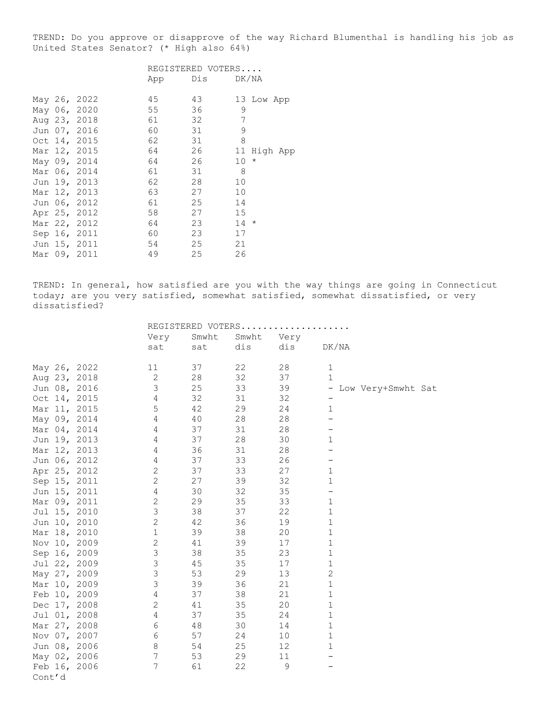TREND: Do you approve or disapprove of the way Richard Blumenthal is handling his job as United States Senator? (\* High also 64%)

|  |              |     | REGISTERED VOTERS |     |            |
|--|--------------|-----|-------------------|-----|------------|
|  |              | App | Dis DK/NA         |     |            |
|  | May 26, 2022 | 45  | 43                |     | 13 Low App |
|  | May 06, 2020 | 55  | 36                | 9   |            |
|  | Aug 23, 2018 | 61  | 32                | 7   |            |
|  | Jun 07, 2016 | 60  | 31                | 9   |            |
|  | Oct 14, 2015 | 62  | 31                | 8   |            |
|  | Mar 12, 2015 | 64  | 26                | 11  | High App   |
|  | May 09, 2014 | 64  | 26                | 10  | $^\star$   |
|  | Mar 06, 2014 | 61  | 31                | - 8 |            |
|  | Jun 19, 2013 | 62  | 28                | 10  |            |
|  | Mar 12, 2013 | 63  | 27                | 10  |            |
|  | Jun 06, 2012 | 61  | 25                | 14  |            |
|  | Apr 25, 2012 | 58  | 27                | 15  |            |
|  | Mar 22, 2012 | 64  | 23                | 14  | $^\star$   |
|  | Sep 16, 2011 | 60  | 23                | 17  |            |
|  | Jun 15, 2011 | 54  | 25                | 21  |            |
|  | Mar 09, 2011 | 49  | 25                | 26  |            |

TREND: In general, how satisfied are you with the way things are going in Connecticut today; are you very satisfied, somewhat satisfied, somewhat dissatisfied, or very dissatisfied?

|        |              |                |       | REGISTERED VOTERS |      |                          |
|--------|--------------|----------------|-------|-------------------|------|--------------------------|
|        |              | Very           | Smwht | Smwht             | Very |                          |
|        |              | sat            | sat   | dis               | dis  | DK/NA                    |
|        | May 26, 2022 | 11             | 37    | 22                | 28   | $\mathbf{1}$             |
|        | Aug 23, 2018 | 2              | 28    | 32                | 37   | $\mathbf{1}$             |
|        |              | 3              | 25    | 33                | 39   | $\overline{\phantom{a}}$ |
|        | Jun 08, 2016 |                | 32    |                   |      | Low Very+Smwht Sat       |
|        | Oct 14, 2015 | 4              |       | 31                | 32   |                          |
|        | Mar 11, 2015 | 5              | 42    | 29                | 24   | $\mathbf{1}$             |
|        | May 09, 2014 | $\overline{4}$ | 40    | 28                | 28   |                          |
|        | Mar 04, 2014 | $\overline{4}$ | 37    | 31                | 28   |                          |
|        | Jun 19, 2013 | 4              | 37    | 28                | 30   | $\mathbf{1}$             |
|        | Mar 12, 2013 | $\overline{4}$ | 36    | 31                | 28   |                          |
|        | Jun 06, 2012 | 4              | 37    | 33                | 26   |                          |
|        | Apr 25, 2012 | $\overline{2}$ | 37    | 33                | 27   | $\mathbf{1}$             |
|        | Sep 15, 2011 | 2              | 27    | 39                | 32   | $\mathbf 1$              |
|        | Jun 15, 2011 | 4              | 30    | 32                | 35   | $\qquad \qquad -$        |
|        | Mar 09, 2011 | $\mathbf{2}$   | 29    | 35                | 33   | $\mathbf{1}$             |
|        | Jul 15, 2010 | $\mathfrak{Z}$ | 38    | 37                | 22   | $\mathbf{1}$             |
|        | Jun 10, 2010 | $\overline{2}$ | 42    | 36                | 19   | $\mathbf 1$              |
|        | Mar 18, 2010 | $1\,$          | 39    | 38                | 20   | $\mathbf 1$              |
|        | Nov 10, 2009 | $\overline{2}$ | 41    | 39                | 17   | $\mathbf 1$              |
|        | Sep 16, 2009 | 3              | 38    | 35                | 23   | $\mathbf 1$              |
|        | Jul 22, 2009 | 3              | 45    | 35                | 17   | $\mathbf{1}$             |
|        | May 27, 2009 | 3              | 53    | 29                | 13   | $\overline{c}$           |
|        | Mar 10, 2009 | 3              | 39    | 36                | 21   | $\mathbf{1}$             |
|        | Feb 10, 2009 | $\overline{4}$ | 37    | 38                | 21   | $\mathbf{1}$             |
|        | Dec 17, 2008 | $\mathbf{2}$   | 41    | 35                | 20   | $\mathbf 1$              |
|        | Jul 01, 2008 | 4              | 37    | 35                | 24   | $\mathbf{1}$             |
|        | Mar 27, 2008 | 6              | 48    | 30                | 14   | $1\,$                    |
|        | Nov 07, 2007 | 6              | 57    | 24                | 10   | $\mathbf 1$              |
|        | Jun 08, 2006 | 8              | 54    | 25                | 12   | $\mathbf{1}$             |
|        | May 02, 2006 | 7              | 53    | 29                | 11   |                          |
|        | Feb 16, 2006 | 7              | 61    | 22                | 9    |                          |
| Cont'd |              |                |       |                   |      |                          |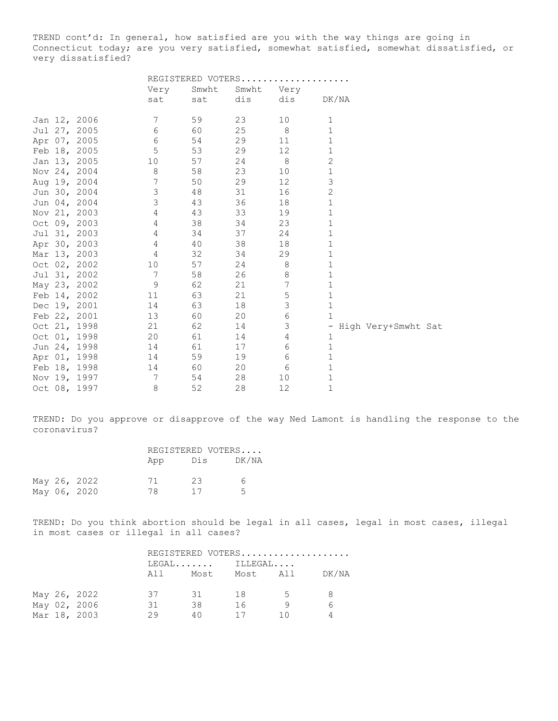TREND cont'd: In general, how satisfied are you with the way things are going in Connecticut today; are you very satisfied, somewhat satisfied, somewhat dissatisfied, or very dissatisfied?

|  |              |                 |     | REGISTERED VOTERS |                |              |                       |  |
|--|--------------|-----------------|-----|-------------------|----------------|--------------|-----------------------|--|
|  |              | Very            |     | Smwht             | Smwht<br>Very  |              |                       |  |
|  |              | sat             | sat | dis               | dis            | DK/NA        |                       |  |
|  | Jan 12, 2006 | 7               | 59  | 23                | 10             | 1            |                       |  |
|  | Jul 27, 2005 | 6               | 60  | 25                | 8              | $\mathbf 1$  |                       |  |
|  | Apr 07, 2005 | 6               | 54  | 29                | 11             | 1            |                       |  |
|  | Feb 18, 2005 | 5               | 53  | 29                | 12             | $\mathbf 1$  |                       |  |
|  | Jan 13, 2005 | 10              | 57  | 24                | $\,8\,$        | $\mathbf{2}$ |                       |  |
|  | Nov 24, 2004 | 8               | 58  | 23                | 10             | $\mathbf 1$  |                       |  |
|  | Aug 19, 2004 | 7               | 50  | 29                | 12             | 3            |                       |  |
|  | Jun 30, 2004 | $\mathfrak{Z}$  | 48  | 31                | 16             | $\mathbf{2}$ |                       |  |
|  | Jun 04, 2004 | $\mathfrak{Z}$  | 43  | 36                | 18             | $\mathbf{1}$ |                       |  |
|  | Nov 21, 2003 | $\overline{4}$  | 43  | 33                | 19             | $\mathbf 1$  |                       |  |
|  | Oct 09, 2003 | $\overline{4}$  | 38  | 34                | 23             | 1            |                       |  |
|  | Jul 31, 2003 | $\overline{4}$  | 34  | 37                | 24             | $\mathbf 1$  |                       |  |
|  | Apr 30, 2003 | $\overline{4}$  | 40  | 38                | 18             | 1            |                       |  |
|  | Mar 13, 2003 | 4               | 32  | 34                | 29             | $\mathbf{1}$ |                       |  |
|  | Oct 02, 2002 | 10              | 57  | 24                | 8              | $\mathbf 1$  |                       |  |
|  | Jul 31, 2002 | $7\phantom{.0}$ | 58  | 26                | $\,8\,$        | $\mathbf 1$  |                       |  |
|  | May 23, 2002 | 9               | 62  | 21                | $\overline{7}$ | $\mathbf 1$  |                       |  |
|  | Feb 14, 2002 | 11              | 63  | 21                | $\mathsf S$    | $\mathbf 1$  |                       |  |
|  | Dec 19, 2001 | 14              | 63  | 18                | $\mathsf 3$    | $\mathbf 1$  |                       |  |
|  | Feb 22, 2001 | 13              | 60  | 20                | $\epsilon$     | $\mathbf{1}$ |                       |  |
|  | Oct 21, 1998 | 21              | 62  | 14                | 3              |              | - High Very+Smwht Sat |  |
|  | Oct 01, 1998 | 20              | 61  | 14                | 4              | $\mathbf 1$  |                       |  |
|  | Jun 24, 1998 | 14              | 61  | 17                | 6              | $\mathbf 1$  |                       |  |
|  | Apr 01, 1998 | 14              | 59  | 19                | 6              | $\mathbf{1}$ |                       |  |
|  | Feb 18, 1998 | 14              | 60  | 20                | 6              | $\mathbf 1$  |                       |  |
|  | Nov 19, 1997 | 7               | 54  | 28                | 10             | 1            |                       |  |
|  | Oct 08, 1997 | 8               | 52  | 28                | 12             | $\mathbf 1$  |                       |  |

TREND: Do you approve or disapprove of the way Ned Lamont is handling the response to the coronavirus?

|  |              | REGISTERED VOTERS |     |       |  |  |
|--|--------------|-------------------|-----|-------|--|--|
|  |              | App               | Dis | DK/NA |  |  |
|  | May 26, 2022 | 71                | 23  | 6     |  |  |
|  | May 06, 2020 | 78.               | 17  | 5.    |  |  |

TREND: Do you think abortion should be legal in all cases, legal in most cases, illegal in most cases or illegal in all cases?

|  |              | $LEGAL$ $ILLEGAL$ |      |    | REGISTERED VOTERS |       |  |
|--|--------------|-------------------|------|----|-------------------|-------|--|
|  |              | AII I             | Most |    | Most All          | DK/NA |  |
|  | May 26, 2022 | 37                | - 31 | 18 | 5 <sup>5</sup>    |       |  |
|  | May 02, 2006 | 31                | 38   | 16 |                   |       |  |
|  | Mar 18, 2003 | 29                | 4 N  | 17 | 1 N               |       |  |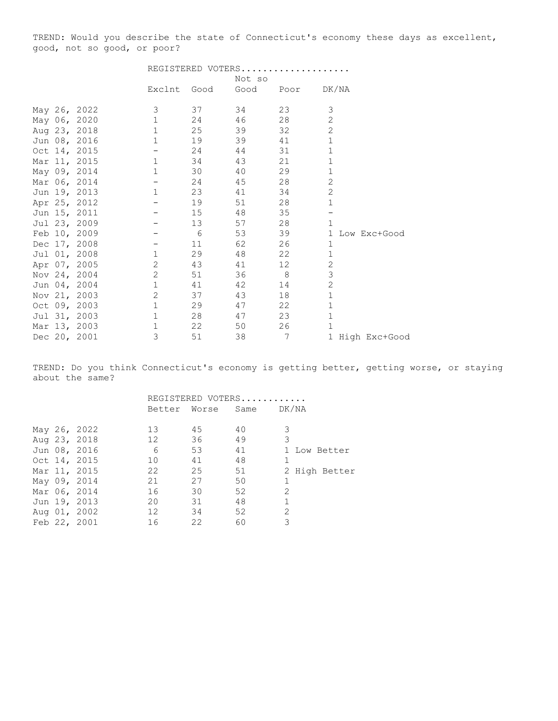TREND: Would you describe the state of Connecticut's economy these days as excellent, good, not so good, or poor?

|  |              | REGISTERED VOTERS               |             |        |           |                 |
|--|--------------|---------------------------------|-------------|--------|-----------|-----------------|
|  |              |                                 |             | Not so |           |                 |
|  |              |                                 | Exclnt Good |        | Good Poor | DK/NA           |
|  | May 26, 2022 | 3                               | 37          | 34     | 23        | 3               |
|  | May 06, 2020 | $\mathbf{1}$                    | 24          | 46     | 28        | 2               |
|  | Aug 23, 2018 | $\mathbf{1}$                    | 25          | 39     | 32        | $\mathbf{2}$    |
|  | Jun 08, 2016 | $\mathbf{1}$                    | 19          | 39     | 41        | $\mathbf{1}$    |
|  | Oct 14, 2015 | $\frac{1}{2}$ and $\frac{1}{2}$ | 24          | 44     | 31        | $\mathbf{1}$    |
|  | Mar 11, 2015 | $\mathbf{1}$                    | 34          | 43     | 21        | $\mathbf{1}$    |
|  | May 09, 2014 | $\mathbf{1}$                    | 30          | 40     | 29        | $\mathbf 1$     |
|  | Mar 06, 2014 | $ -$                            | 24          | 45     | 28        | 2               |
|  | Jun 19, 2013 | $\mathbf{1}$                    | 23          | 41     | 34        | $\overline{c}$  |
|  | Apr 25, 2012 | $\overline{\phantom{m}}$        | 19          | 51     | 28        | $\mathbf{1}$    |
|  | Jun 15, 2011 |                                 | 15          | 48     | 35        |                 |
|  | Jul 23, 2009 | $-$                             | 13          | 57     | 28        | $\mathbf{1}$    |
|  | Feb 10, 2009 |                                 | 6           | 53     | 39        | 1 Low Exc+Good  |
|  | Dec 17, 2008 |                                 | 11          | 62     | 26        | $\mathbf{1}$    |
|  | Jul 01, 2008 | $\mathbf{1}$                    | 29          | 48     | 22        | $\mathbf 1$     |
|  | Apr 07, 2005 | $\mathbf{2}$                    | 43          | 41     | 12        | 2               |
|  | Nov 24, 2004 | 2                               | 51          | 36     | -8        | 3               |
|  | Jun 04, 2004 | $\mathbf{1}$                    | 41          | 42     | 14        | $\mathbf{2}$    |
|  | Nov 21, 2003 | $\mathbf{2}$                    | 37          | 43     | 18        | $\mathbf 1$     |
|  | Oct 09, 2003 | $1\,$                           | 29          | 47     | 22        | $\mathbf 1$     |
|  | Jul 31, 2003 | $\mathbf{1}$                    | 28          | 47     | 23        | $1\,$           |
|  | Mar 13, 2003 | $1\,$                           | 22          | 50     | 26        | $\mathbf{1}$    |
|  | Dec 20, 2001 | 3                               | 51          | 38     | 7         | 1 High Exc+Good |

TREND: Do you think Connecticut's economy is getting better, getting worse, or staying about the same?

|  |              | REGISTERED VOTERS |              |            |               |               |  |  |
|--|--------------|-------------------|--------------|------------|---------------|---------------|--|--|
|  |              |                   | Better Worse | Same DK/NA |               |               |  |  |
|  |              |                   |              |            |               |               |  |  |
|  | May 26, 2022 | 13                | 45           | 40         | 3             |               |  |  |
|  | Aug 23, 2018 | 12                | 36           | 49         | 3             |               |  |  |
|  | Jun 08, 2016 | 6                 | 53           | 41         |               | 1 Low Better  |  |  |
|  | Oct 14, 2015 | 10                | 41           | 48         |               |               |  |  |
|  | Mar 11, 2015 | 22                | 25           | 51         |               | 2 High Better |  |  |
|  | May 09, 2014 | 21                | 27           | 50         |               |               |  |  |
|  | Mar 06, 2014 | 16                | 30           | 52         | 2             |               |  |  |
|  | Jun 19, 2013 | 20                | 31           | 48         | $\mathbf{1}$  |               |  |  |
|  | Aug 01, 2002 | 12                | 34           | 52         | $\mathcal{L}$ |               |  |  |
|  | Feb 22, 2001 | 16                | 22           | 60         | 3             |               |  |  |